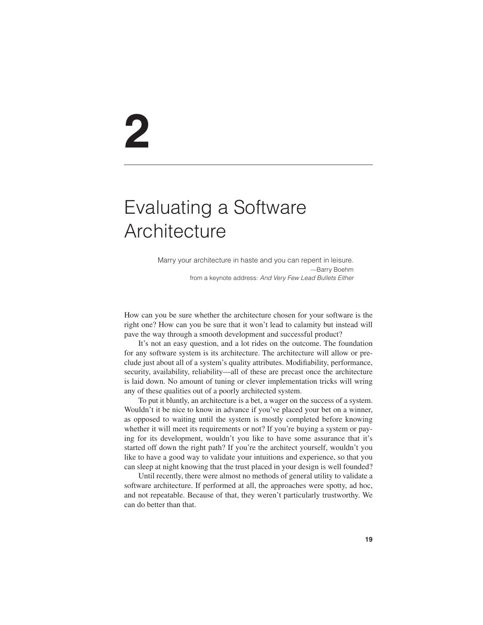# **2**

# Evaluating a Software **Architecture**

 Marry your architecture in haste and you can repent in leisure. —Barry Boehm from a keynote address: *And Very Few Lead Bullets Either*

How can you be sure whether the architecture chosen for your software is the right one? How can you be sure that it won't lead to calamity but instead will pave the way through a smooth development and successful product?

It's not an easy question, and a lot rides on the outcome. The foundation for any software system is its architecture. The architecture will allow or preclude just about all of a system's quality attributes. Modifiability, performance, security, availability, reliability—all of these are precast once the architecture is laid down. No amount of tuning or clever implementation tricks will wring any of these qualities out of a poorly architected system.

To put it bluntly, an architecture is a bet, a wager on the success of a system. Wouldn't it be nice to know in advance if you've placed your bet on a winner, as opposed to waiting until the system is mostly completed before knowing whether it will meet its requirements or not? If you're buying a system or paying for its development, wouldn't you like to have some assurance that it's started off down the right path? If you're the architect yourself, wouldn't you like to have a good way to validate your intuitions and experience, so that you can sleep at night knowing that the trust placed in your design is well founded?

Until recently, there were almost no methods of general utility to validate a software architecture. If performed at all, the approaches were spotty, ad hoc, and not repeatable. Because of that, they weren't particularly trustworthy. We can do better than that.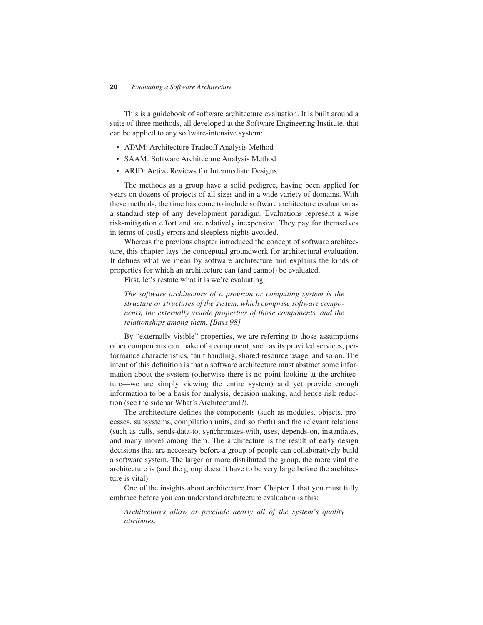This is a guidebook of software architecture evaluation. It is built around a suite of three methods, all developed at the Software Engineering Institute, that can be applied to any software-intensive system:

- ATAM: Architecture Tradeoff Analysis Method
- SAAM: Software Architecture Analysis Method
- ARID: Active Reviews for Intermediate Designs

The methods as a group have a solid pedigree, having been applied for years on dozens of projects of all sizes and in a wide variety of domains. With these methods, the time has come to include software architecture evaluation as a standard step of any development paradigm. Evaluations represent a wise risk-mitigation effort and are relatively inexpensive. They pay for themselves in terms of costly errors and sleepless nights avoided.

Whereas the previous chapter introduced the concept of software architecture, this chapter lays the conceptual groundwork for architectural evaluation. It defines what we mean by software architecture and explains the kinds of properties for which an architecture can (and cannot) be evaluated.

First, let's restate what it is we're evaluating:

*The software architecture of a program or computing system is the structure or structures of the system, which comprise software components, the externally visible properties of those components, and the relationships among them. [Bass 98]*

By "externally visible" properties, we are referring to those assumptions other components can make of a component, such as its provided services, performance characteristics, fault handling, shared resource usage, and so on. The intent of this definition is that a software architecture must abstract some information about the system (otherwise there is no point looking at the architecture—we are simply viewing the entire system) and yet provide enough information to be a basis for analysis, decision making, and hence risk reduction (see the sidebar What's Architectural?).

The architecture defines the components (such as modules, objects, processes, subsystems, compilation units, and so forth) and the relevant relations (such as calls, sends-data-to, synchronizes-with, uses, depends-on, instantiates, and many more) among them. The architecture is the result of early design decisions that are necessary before a group of people can collaboratively build a software system. The larger or more distributed the group, the more vital the architecture is (and the group doesn't have to be very large before the architecture is vital).

One of the insights about architecture from Chapter 1 that you must fully embrace before you can understand architecture evaluation is this:

*Architectures allow or preclude nearly all of the system's quality attributes.*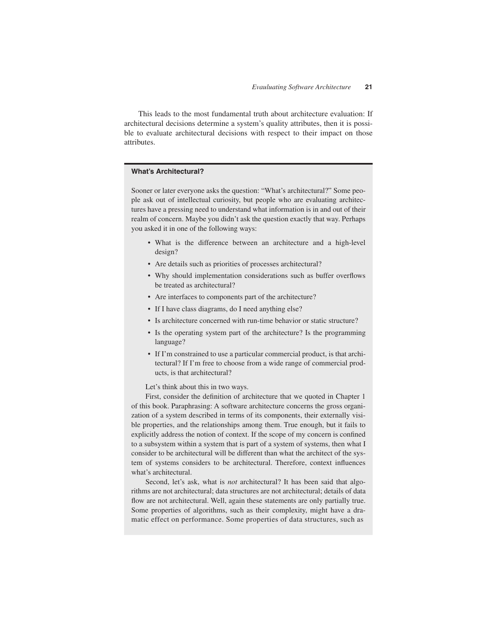This leads to the most fundamental truth about architecture evaluation: If architectural decisions determine a system's quality attributes, then it is possible to evaluate architectural decisions with respect to their impact on those attributes.

#### **What's Architectural?**

Sooner or later everyone asks the question: "What's architectural?" Some people ask out of intellectual curiosity, but people who are evaluating architectures have a pressing need to understand what information is in and out of their realm of concern. Maybe you didn't ask the question exactly that way. Perhaps you asked it in one of the following ways:

- What is the difference between an architecture and a high-level design?
- Are details such as priorities of processes architectural?
- Why should implementation considerations such as buffer overflows be treated as architectural?
- Are interfaces to components part of the architecture?
- If I have class diagrams, do I need anything else?
- Is architecture concerned with run-time behavior or static structure?
- Is the operating system part of the architecture? Is the programming language?
- If I'm constrained to use a particular commercial product, is that architectural? If I'm free to choose from a wide range of commercial products, is that architectural?

Let's think about this in two ways.

First, consider the definition of architecture that we quoted in Chapter 1 of this book. Paraphrasing: A software architecture concerns the gross organization of a system described in terms of its components, their externally visible properties, and the relationships among them. True enough, but it fails to explicitly address the notion of context. If the scope of my concern is confined to a subsystem within a system that is part of a system of systems, then what I consider to be architectural will be different than what the architect of the system of systems considers to be architectural. Therefore, context influences what's architectural.

Second, let's ask, what is *not* architectural? It has been said that algorithms are not architectural; data structures are not architectural; details of data flow are not architectural. Well, again these statements are only partially true. Some properties of algorithms, such as their complexity, might have a dramatic effect on performance. Some properties of data structures, such as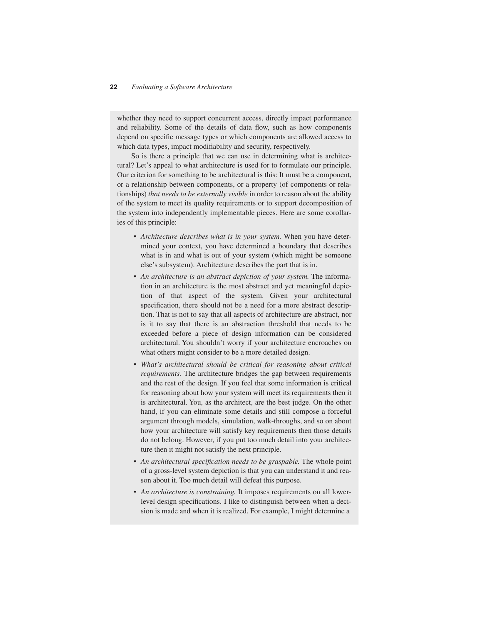whether they need to support concurrent access, directly impact performance and reliability. Some of the details of data flow, such as how components depend on specific message types or which components are allowed access to which data types, impact modifiability and security, respectively.

So is there a principle that we can use in determining what is architectural? Let's appeal to what architecture is used for to formulate our principle. Our criterion for something to be architectural is this: It must be a component, or a relationship between components, or a property (of components or relationships) *that needs to be externally visible* in order to reason about the ability of the system to meet its quality requirements or to support decomposition of the system into independently implementable pieces. Here are some corollaries of this principle:

- *Architecture describes what is in your system.* When you have determined your context, you have determined a boundary that describes what is in and what is out of your system (which might be someone else's subsystem). Architecture describes the part that is in.
- An architecture is an abstract depiction of your system. The information in an architecture is the most abstract and yet meaningful depiction of that aspect of the system. Given your architectural specification, there should not be a need for a more abstract description. That is not to say that all aspects of architecture are abstract, nor is it to say that there is an abstraction threshold that needs to be exceeded before a piece of design information can be considered architectural. You shouldn't worry if your architecture encroaches on what others might consider to be a more detailed design.
- *What's architectural should be critical for reasoning about critical requirements.* The architecture bridges the gap between requirements and the rest of the design. If you feel that some information is critical for reasoning about how your system will meet its requirements then it is architectural. You, as the architect, are the best judge. On the other hand, if you can eliminate some details and still compose a forceful argument through models, simulation, walk-throughs, and so on about how your architecture will satisfy key requirements then those details do not belong. However, if you put too much detail into your architecture then it might not satisfy the next principle.
- *An architectural specification needs to be graspable.* The whole point of a gross-level system depiction is that you can understand it and reason about it. Too much detail will defeat this purpose.
- An architecture is constraining. It imposes requirements on all lowerlevel design specifications. I like to distinguish between when a decision is made and when it is realized. For example, I might determine a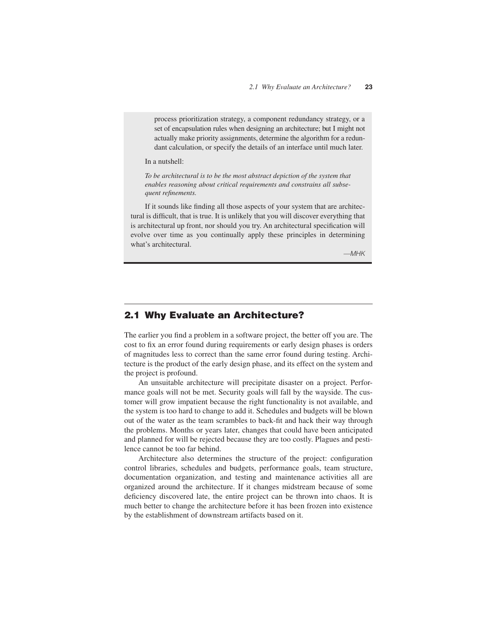process prioritization strategy, a component redundancy strategy, or a set of encapsulation rules when designing an architecture; but I might not actually make priority assignments, determine the algorithm for a redundant calculation, or specify the details of an interface until much later.

In a nutshell:

*To be architectural is to be the most abstract depiction of the system that enables reasoning about critical requirements and constrains all subsequent refinements.*

If it sounds like finding all those aspects of your system that are architectural is difficult, that is true. It is unlikely that you will discover everything that is architectural up front, nor should you try. An architectural specification will evolve over time as you continually apply these principles in determining what's architectural.

*—MHK*

# **2.1 Why Evaluate an Architecture?**

The earlier you find a problem in a software project, the better off you are. The cost to fix an error found during requirements or early design phases is orders of magnitudes less to correct than the same error found during testing. Architecture is the product of the early design phase, and its effect on the system and the project is profound.

An unsuitable architecture will precipitate disaster on a project. Performance goals will not be met. Security goals will fall by the wayside. The customer will grow impatient because the right functionality is not available, and the system is too hard to change to add it. Schedules and budgets will be blown out of the water as the team scrambles to back-fit and hack their way through the problems. Months or years later, changes that could have been anticipated and planned for will be rejected because they are too costly. Plagues and pestilence cannot be too far behind.

Architecture also determines the structure of the project: configuration control libraries, schedules and budgets, performance goals, team structure, documentation organization, and testing and maintenance activities all are organized around the architecture. If it changes midstream because of some deficiency discovered late, the entire project can be thrown into chaos. It is much better to change the architecture before it has been frozen into existence by the establishment of downstream artifacts based on it.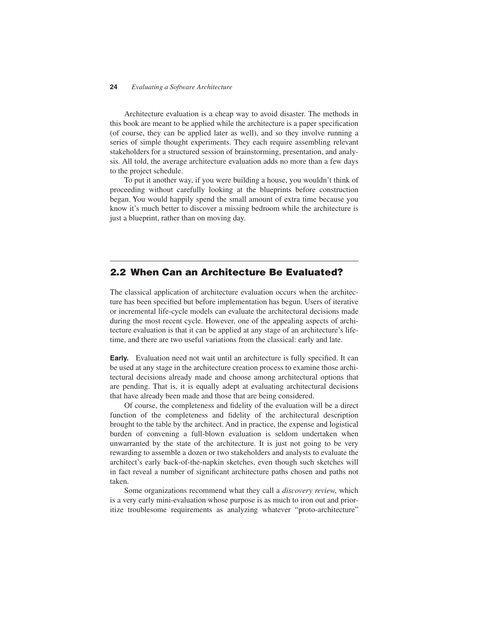Architecture evaluation is a cheap way to avoid disaster. The methods in this book are meant to be applied while the architecture is a paper specification (of course, they can be applied later as well), and so they involve running a series of simple thought experiments. They each require assembling relevant stakeholders for a structured session of brainstorming, presentation, and analysis. All told, the average architecture evaluation adds no more than a few days to the project schedule.

To put it another way, if you were building a house, you wouldn't think of proceeding without carefully looking at the blueprints before construction began. You would happily spend the small amount of extra time because you know it's much better to discover a missing bedroom while the architecture is just a blueprint, rather than on moving day.

# **2.2 When Can an Architecture Be Evaluated?**

The classical application of architecture evaluation occurs when the architecture has been specified but before implementation has begun. Users of iterative or incremental life-cycle models can evaluate the architectural decisions made during the most recent cycle. However, one of the appealing aspects of architecture evaluation is that it can be applied at any stage of an architecture's lifetime, and there are two useful variations from the classical: early and late.

**Early.** Evaluation need not wait until an architecture is fully specified. It can be used at any stage in the architecture creation process to examine those architectural decisions already made and choose among architectural options that are pending. That is, it is equally adept at evaluating architectural decisions that have already been made and those that are being considered.

Of course, the completeness and fidelity of the evaluation will be a direct function of the completeness and fidelity of the architectural description brought to the table by the architect. And in practice, the expense and logistical burden of convening a full-blown evaluation is seldom undertaken when unwarranted by the state of the architecture. It is just not going to be very rewarding to assemble a dozen or two stakeholders and analysts to evaluate the architect's early back-of-the-napkin sketches, even though such sketches will in fact reveal a number of significant architecture paths chosen and paths not taken.

Some organizations recommend what they call a *discovery review*, which is a very early mini-evaluation whose purpose is as much to iron out and prioritize troublesome requirements as analyzing whatever "proto-architecture"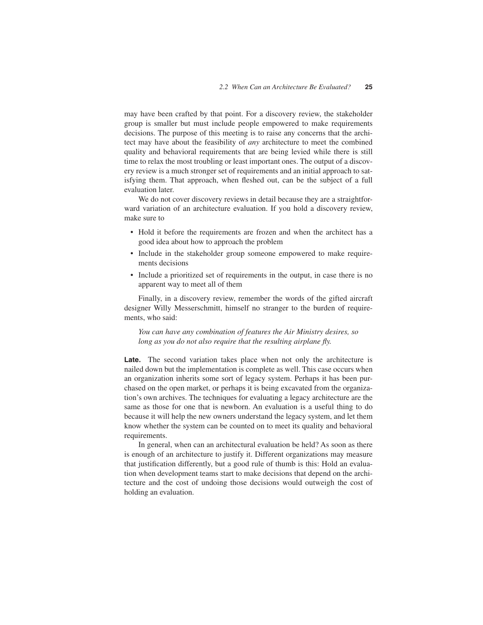may have been crafted by that point. For a discovery review, the stakeholder group is smaller but must include people empowered to make requirements decisions. The purpose of this meeting is to raise any concerns that the architect may have about the feasibility of *any* architecture to meet the combined quality and behavioral requirements that are being levied while there is still time to relax the most troubling or least important ones. The output of a discovery review is a much stronger set of requirements and an initial approach to satisfying them. That approach, when fleshed out, can be the subject of a full evaluation later.

We do not cover discovery reviews in detail because they are a straightforward variation of an architecture evaluation. If you hold a discovery review, make sure to

- Hold it before the requirements are frozen and when the architect has a good idea about how to approach the problem
- Include in the stakeholder group someone empowered to make requirements decisions
- Include a prioritized set of requirements in the output, in case there is no apparent way to meet all of them

Finally, in a discovery review, remember the words of the gifted aircraft designer Willy Messerschmitt, himself no stranger to the burden of requirements, who said:

*You can have any combination of features the Air Ministry desires, so long as you do not also require that the resulting airplane fly.*

Late. The second variation takes place when not only the architecture is nailed down but the implementation is complete as well. This case occurs when an organization inherits some sort of legacy system. Perhaps it has been purchased on the open market, or perhaps it is being excavated from the organization's own archives. The techniques for evaluating a legacy architecture are the same as those for one that is newborn. An evaluation is a useful thing to do because it will help the new owners understand the legacy system, and let them know whether the system can be counted on to meet its quality and behavioral requirements.

In general, when can an architectural evaluation be held? As soon as there is enough of an architecture to justify it. Different organizations may measure that justification differently, but a good rule of thumb is this: Hold an evaluation when development teams start to make decisions that depend on the architecture and the cost of undoing those decisions would outweigh the cost of holding an evaluation.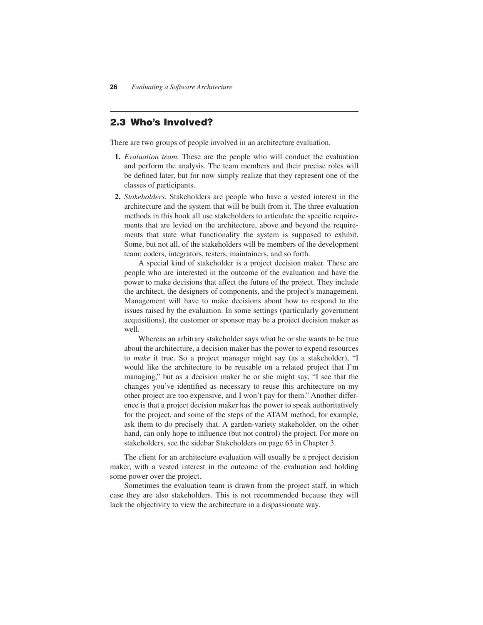# **2.3 Who's Involved?**

There are two groups of people involved in an architecture evaluation.

- **1.** *Evaluation team.* These are the people who will conduct the evaluation and perform the analysis. The team members and their precise roles will be defined later, but for now simply realize that they represent one of the classes of participants.
- **2.** *Stakeholders.* Stakeholders are people who have a vested interest in the architecture and the system that will be built from it. The three evaluation methods in this book all use stakeholders to articulate the specific requirements that are levied on the architecture, above and beyond the requirements that state what functionality the system is supposed to exhibit. Some, but not all, of the stakeholders will be members of the development team: coders, integrators, testers, maintainers, and so forth.

A special kind of stakeholder is a project decision maker. These are people who are interested in the outcome of the evaluation and have the power to make decisions that affect the future of the project. They include the architect, the designers of components, and the project's management. Management will have to make decisions about how to respond to the issues raised by the evaluation. In some settings (particularly government acquisitions), the customer or sponsor may be a project decision maker as well.

Whereas an arbitrary stakeholder says what he or she wants to be true about the architecture, a decision maker has the power to expend resources to *make* it true. So a project manager might say (as a stakeholder), "I would like the architecture to be reusable on a related project that I'm managing," but as a decision maker he or she might say, "I see that the changes you've identified as necessary to reuse this architecture on my other project are too expensive, and I won't pay for them." Another difference is that a project decision maker has the power to speak authoritatively for the project, and some of the steps of the ATAM method, for example, ask them to do precisely that. A garden-variety stakeholder, on the other hand, can only hope to influence (but not control) the project. For more on stakeholders, see the sidebar Stakeholders on page 63 in Chapter 3.

The client for an architecture evaluation will usually be a project decision maker, with a vested interest in the outcome of the evaluation and holding some power over the project.

Sometimes the evaluation team is drawn from the project staff, in which case they are also stakeholders. This is not recommended because they will lack the objectivity to view the architecture in a dispassionate way.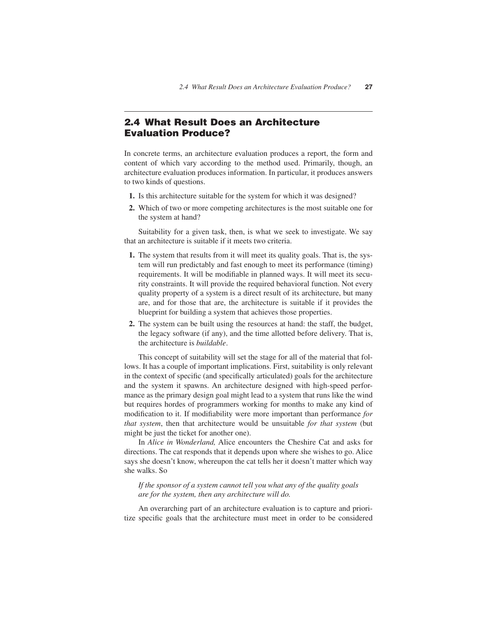# **2.4 What Result Does an Architecture Evaluation Produce?**

In concrete terms, an architecture evaluation produces a report, the form and content of which vary according to the method used. Primarily, though, an architecture evaluation produces information. In particular, it produces answers to two kinds of questions.

- **1.** Is this architecture suitable for the system for which it was designed?
- **2.** Which of two or more competing architectures is the most suitable one for the system at hand?

Suitability for a given task, then, is what we seek to investigate. We say that an architecture is suitable if it meets two criteria.

- **1.** The system that results from it will meet its quality goals. That is, the system will run predictably and fast enough to meet its performance (timing) requirements. It will be modifiable in planned ways. It will meet its security constraints. It will provide the required behavioral function. Not every quality property of a system is a direct result of its architecture, but many are, and for those that are, the architecture is suitable if it provides the blueprint for building a system that achieves those properties.
- **2.** The system can be built using the resources at hand: the staff, the budget, the legacy software (if any), and the time allotted before delivery. That is, the architecture is *buildable*.

This concept of suitability will set the stage for all of the material that follows. It has a couple of important implications. First, suitability is only relevant in the context of specific (and specifically articulated) goals for the architecture and the system it spawns. An architecture designed with high-speed performance as the primary design goal might lead to a system that runs like the wind but requires hordes of programmers working for months to make any kind of modification to it. If modifiability were more important than performance *for that system*, then that architecture would be unsuitable *for that system* (but might be just the ticket for another one).

In *Alice in Wonderland,* Alice encounters the Cheshire Cat and asks for directions. The cat responds that it depends upon where she wishes to go. Alice says she doesn't know, whereupon the cat tells her it doesn't matter which way she walks. So

#### *If the sponsor of a system cannot tell you what any of the quality goals are for the system, then any architecture will do.*

An overarching part of an architecture evaluation is to capture and prioritize specific goals that the architecture must meet in order to be considered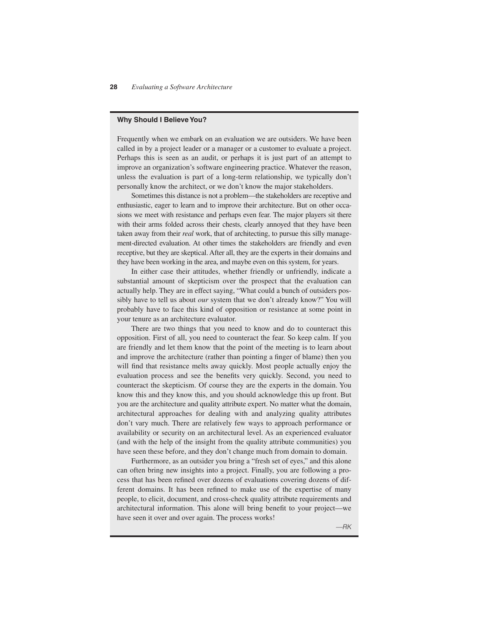#### **Why Should I Believe You?**

Frequently when we embark on an evaluation we are outsiders. We have been called in by a project leader or a manager or a customer to evaluate a project. Perhaps this is seen as an audit, or perhaps it is just part of an attempt to improve an organization's software engineering practice. Whatever the reason, unless the evaluation is part of a long-term relationship, we typically don't personally know the architect, or we don't know the major stakeholders.

Sometimes this distance is not a problem—the stakeholders are receptive and enthusiastic, eager to learn and to improve their architecture. But on other occasions we meet with resistance and perhaps even fear. The major players sit there with their arms folded across their chests, clearly annoyed that they have been taken away from their *real* work, that of architecting, to pursue this silly management-directed evaluation. At other times the stakeholders are friendly and even receptive, but they are skeptical. After all, they are the experts in their domains and they have been working in the area, and maybe even on this system, for years.

In either case their attitudes, whether friendly or unfriendly, indicate a substantial amount of skepticism over the prospect that the evaluation can actually help. They are in effect saying, "What could a bunch of outsiders possibly have to tell us about *our* system that we don't already know?" You will probably have to face this kind of opposition or resistance at some point in your tenure as an architecture evaluator.

There are two things that you need to know and do to counteract this opposition. First of all, you need to counteract the fear. So keep calm. If you are friendly and let them know that the point of the meeting is to learn about and improve the architecture (rather than pointing a finger of blame) then you will find that resistance melts away quickly. Most people actually enjoy the evaluation process and see the benefits very quickly. Second, you need to counteract the skepticism. Of course they are the experts in the domain. You know this and they know this, and you should acknowledge this up front. But you are the architecture and quality attribute expert. No matter what the domain, architectural approaches for dealing with and analyzing quality attributes don't vary much. There are relatively few ways to approach performance or availability or security on an architectural level. As an experienced evaluator (and with the help of the insight from the quality attribute communities) you have seen these before, and they don't change much from domain to domain.

Furthermore, as an outsider you bring a "fresh set of eyes," and this alone can often bring new insights into a project. Finally, you are following a process that has been refined over dozens of evaluations covering dozens of different domains. It has been refined to make use of the expertise of many people, to elicit, document, and cross-check quality attribute requirements and architectural information. This alone will bring benefit to your project—we have seen it over and over again. The process works!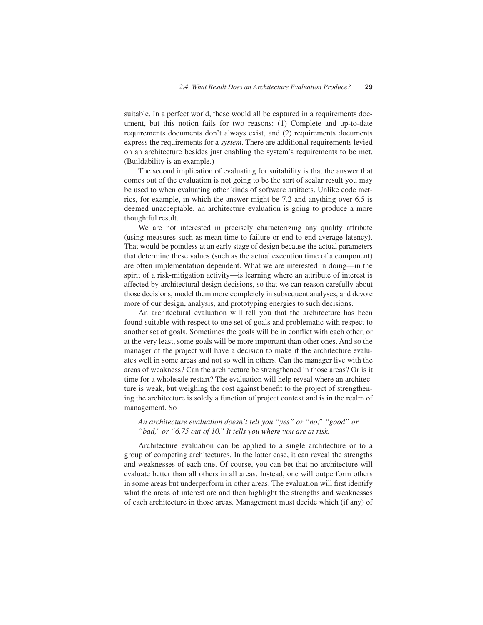suitable. In a perfect world, these would all be captured in a requirements document, but this notion fails for two reasons: (1) Complete and up-to-date requirements documents don't always exist, and (2) requirements documents express the requirements for a *system*. There are additional requirements levied on an architecture besides just enabling the system's requirements to be met. (Buildability is an example.)

The second implication of evaluating for suitability is that the answer that comes out of the evaluation is not going to be the sort of scalar result you may be used to when evaluating other kinds of software artifacts. Unlike code metrics, for example, in which the answer might be 7.2 and anything over 6.5 is deemed unacceptable, an architecture evaluation is going to produce a more thoughtful result.

We are not interested in precisely characterizing any quality attribute (using measures such as mean time to failure or end-to-end average latency). That would be pointless at an early stage of design because the actual parameters that determine these values (such as the actual execution time of a component) are often implementation dependent. What we are interested in doing—in the spirit of a risk-mitigation activity—is learning where an attribute of interest is affected by architectural design decisions, so that we can reason carefully about those decisions, model them more completely in subsequent analyses, and devote more of our design, analysis, and prototyping energies to such decisions.

An architectural evaluation will tell you that the architecture has been found suitable with respect to one set of goals and problematic with respect to another set of goals. Sometimes the goals will be in conflict with each other, or at the very least, some goals will be more important than other ones. And so the manager of the project will have a decision to make if the architecture evaluates well in some areas and not so well in others. Can the manager live with the areas of weakness? Can the architecture be strengthened in those areas? Or is it time for a wholesale restart? The evaluation will help reveal where an architecture is weak, but weighing the cost against benefit to the project of strengthening the architecture is solely a function of project context and is in the realm of management. So

## *An architecture evaluation doesn't tell you "yes" or "no," "good" or "bad," or "6.75 out of 10." It tells you where you are at risk.*

Architecture evaluation can be applied to a single architecture or to a group of competing architectures. In the latter case, it can reveal the strengths and weaknesses of each one. Of course, you can bet that no architecture will evaluate better than all others in all areas. Instead, one will outperform others in some areas but underperform in other areas. The evaluation will first identify what the areas of interest are and then highlight the strengths and weaknesses of each architecture in those areas. Management must decide which (if any) of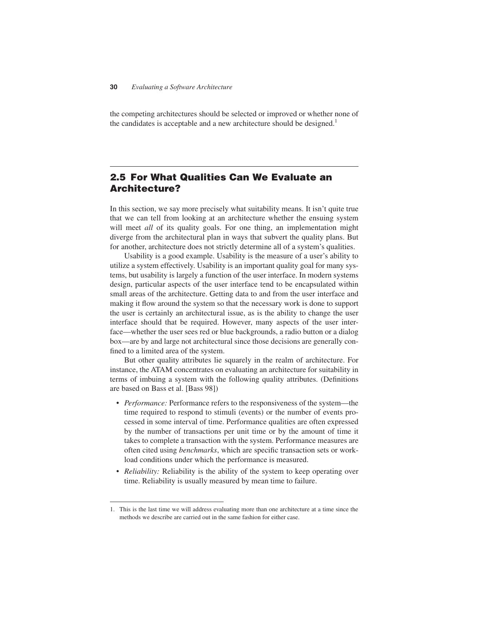the competing architectures should be selected or improved or whether none of the candidates is acceptable and a new architecture should be designed.<sup>1</sup>

# **2.5 For What Qualities Can We Evaluate an Architecture?**

In this section, we say more precisely what suitability means. It isn't quite true that we can tell from looking at an architecture whether the ensuing system will meet *all* of its quality goals. For one thing, an implementation might diverge from the architectural plan in ways that subvert the quality plans. But for another, architecture does not strictly determine all of a system's qualities.

Usability is a good example. Usability is the measure of a user's ability to utilize a system effectively. Usability is an important quality goal for many systems, but usability is largely a function of the user interface. In modern systems design, particular aspects of the user interface tend to be encapsulated within small areas of the architecture. Getting data to and from the user interface and making it flow around the system so that the necessary work is done to support the user is certainly an architectural issue, as is the ability to change the user interface should that be required. However, many aspects of the user interface—whether the user sees red or blue backgrounds, a radio button or a dialog box—are by and large not architectural since those decisions are generally confined to a limited area of the system.

But other quality attributes lie squarely in the realm of architecture. For instance, the ATAM concentrates on evaluating an architecture for suitability in terms of imbuing a system with the following quality attributes. (Definitions are based on Bass et al. [Bass 98])

- *Performance:* Performance refers to the responsiveness of the system—the time required to respond to stimuli (events) or the number of events processed in some interval of time. Performance qualities are often expressed by the number of transactions per unit time or by the amount of time it takes to complete a transaction with the system. Performance measures are often cited using *benchmarks*, which are specific transaction sets or workload conditions under which the performance is measured.
- *Reliability:* Reliability is the ability of the system to keep operating over time. Reliability is usually measured by mean time to failure.

<sup>1.</sup> This is the last time we will address evaluating more than one architecture at a time since the methods we describe are carried out in the same fashion for either case.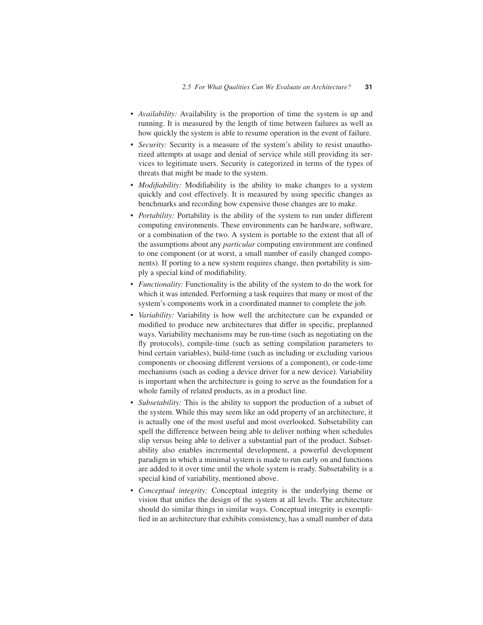- *Availability:* Availability is the proportion of time the system is up and running. It is measured by the length of time between failures as well as how quickly the system is able to resume operation in the event of failure.
- *Security:* Security is a measure of the system's ability to resist unauthorized attempts at usage and denial of service while still providing its services to legitimate users. Security is categorized in terms of the types of threats that might be made to the system.
- *Modifiability:* Modifiability is the ability to make changes to a system quickly and cost effectively. It is measured by using specific changes as benchmarks and recording how expensive those changes are to make.
- *Portability:* Portability is the ability of the system to run under different computing environments. These environments can be hardware, software, or a combination of the two. A system is portable to the extent that all of the assumptions about any *particular* computing environment are confined to one component (or at worst, a small number of easily changed components). If porting to a new system requires change, then portability is simply a special kind of modifiability.
- *Functionality:* Functionality is the ability of the system to do the work for which it was intended. Performing a task requires that many or most of the system's components work in a coordinated manner to complete the job.
- *Variability:* Variability is how well the architecture can be expanded or modified to produce new architectures that differ in specific, preplanned ways. Variability mechanisms may be run-time (such as negotiating on the fly protocols), compile-time (such as setting compilation parameters to bind certain variables), build-time (such as including or excluding various components or choosing different versions of a component), or code-time mechanisms (such as coding a device driver for a new device). Variability is important when the architecture is going to serve as the foundation for a whole family of related products, as in a product line.
- *Subsetability:* This is the ability to support the production of a subset of the system. While this may seem like an odd property of an architecture, it is actually one of the most useful and most overlooked. Subsetability can spell the difference between being able to deliver nothing when schedules slip versus being able to deliver a substantial part of the product. Subsetability also enables incremental development, a powerful development paradigm in which a minimal system is made to run early on and functions are added to it over time until the whole system is ready. Subsetability is a special kind of variability, mentioned above.
- *Conceptual integrity:* Conceptual integrity is the underlying theme or vision that unifies the design of the system at all levels. The architecture should do similar things in similar ways. Conceptual integrity is exemplified in an architecture that exhibits consistency, has a small number of data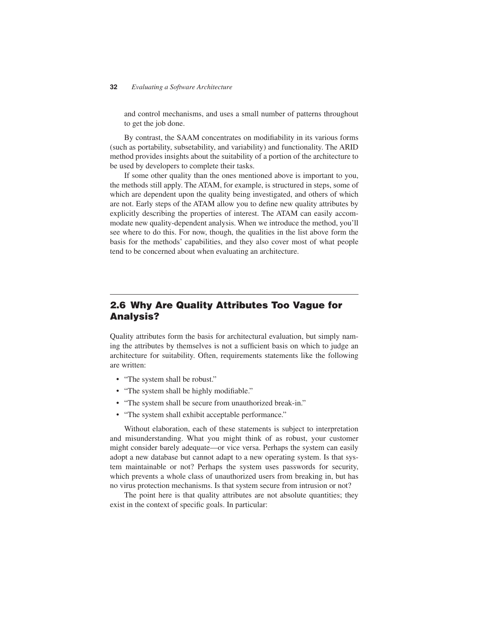and control mechanisms, and uses a small number of patterns throughout to get the job done.

By contrast, the SAAM concentrates on modifiability in its various forms (such as portability, subsetability, and variability) and functionality. The ARID method provides insights about the suitability of a portion of the architecture to be used by developers to complete their tasks.

If some other quality than the ones mentioned above is important to you, the methods still apply. The ATAM, for example, is structured in steps, some of which are dependent upon the quality being investigated, and others of which are not. Early steps of the ATAM allow you to define new quality attributes by explicitly describing the properties of interest. The ATAM can easily accommodate new quality-dependent analysis. When we introduce the method, you'll see where to do this. For now, though, the qualities in the list above form the basis for the methods' capabilities, and they also cover most of what people tend to be concerned about when evaluating an architecture.

# **2.6 Why Are Quality Attributes Too Vague for Analysis?**

Quality attributes form the basis for architectural evaluation, but simply naming the attributes by themselves is not a sufficient basis on which to judge an architecture for suitability. Often, requirements statements like the following are written:

- "The system shall be robust."
- "The system shall be highly modifiable."
- "The system shall be secure from unauthorized break-in."
- "The system shall exhibit acceptable performance."

Without elaboration, each of these statements is subject to interpretation and misunderstanding. What you might think of as robust, your customer might consider barely adequate—or vice versa. Perhaps the system can easily adopt a new database but cannot adapt to a new operating system. Is that system maintainable or not? Perhaps the system uses passwords for security, which prevents a whole class of unauthorized users from breaking in, but has no virus protection mechanisms. Is that system secure from intrusion or not?

The point here is that quality attributes are not absolute quantities; they exist in the context of specific goals. In particular: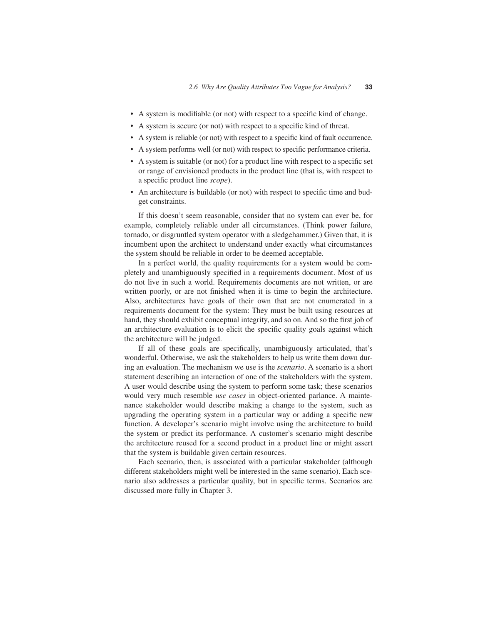- A system is modifiable (or not) with respect to a specific kind of change.
- A system is secure (or not) with respect to a specific kind of threat.
- A system is reliable (or not) with respect to a specific kind of fault occurrence.
- A system performs well (or not) with respect to specific performance criteria.
- A system is suitable (or not) for a product line with respect to a specific set or range of envisioned products in the product line (that is, with respect to a specific product line *scope*).
- An architecture is buildable (or not) with respect to specific time and budget constraints.

If this doesn't seem reasonable, consider that no system can ever be, for example, completely reliable under all circumstances. (Think power failure, tornado, or disgruntled system operator with a sledgehammer.) Given that, it is incumbent upon the architect to understand under exactly what circumstances the system should be reliable in order to be deemed acceptable.

In a perfect world, the quality requirements for a system would be completely and unambiguously specified in a requirements document. Most of us do not live in such a world. Requirements documents are not written, or are written poorly, or are not finished when it is time to begin the architecture. Also, architectures have goals of their own that are not enumerated in a requirements document for the system: They must be built using resources at hand, they should exhibit conceptual integrity, and so on. And so the first job of an architecture evaluation is to elicit the specific quality goals against which the architecture will be judged.

If all of these goals are specifically, unambiguously articulated, that's wonderful. Otherwise, we ask the stakeholders to help us write them down during an evaluation. The mechanism we use is the *scenario*. A scenario is a short statement describing an interaction of one of the stakeholders with the system. A user would describe using the system to perform some task; these scenarios would very much resemble *use cases* in object-oriented parlance. A maintenance stakeholder would describe making a change to the system, such as upgrading the operating system in a particular way or adding a specific new function. A developer's scenario might involve using the architecture to build the system or predict its performance. A customer's scenario might describe the architecture reused for a second product in a product line or might assert that the system is buildable given certain resources.

Each scenario, then, is associated with a particular stakeholder (although different stakeholders might well be interested in the same scenario). Each scenario also addresses a particular quality, but in specific terms. Scenarios are discussed more fully in Chapter 3.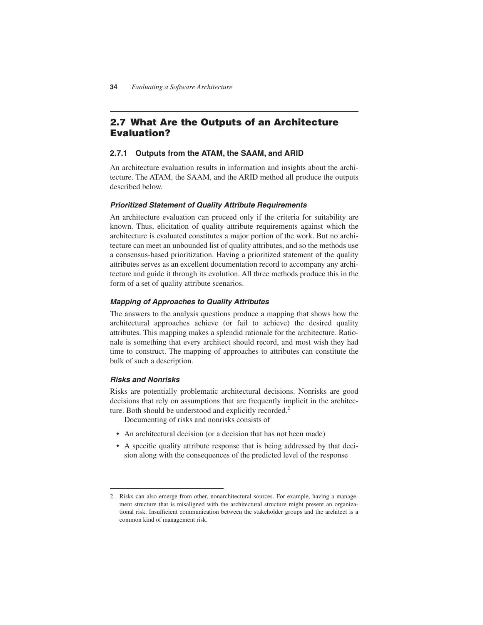# **2.7 What Are the Outputs of an Architecture Evaluation?**

#### **2.7.1 Outputs from the ATAM, the SAAM, and ARID**

An architecture evaluation results in information and insights about the architecture. The ATAM, the SAAM, and the ARID method all produce the outputs described below.

#### *Prioritized Statement of Quality Attribute Requirements*

An architecture evaluation can proceed only if the criteria for suitability are known. Thus, elicitation of quality attribute requirements against which the architecture is evaluated constitutes a major portion of the work. But no architecture can meet an unbounded list of quality attributes, and so the methods use a consensus-based prioritization. Having a prioritized statement of the quality attributes serves as an excellent documentation record to accompany any architecture and guide it through its evolution. All three methods produce this in the form of a set of quality attribute scenarios.

#### *Mapping of Approaches to Quality Attributes*

The answers to the analysis questions produce a mapping that shows how the architectural approaches achieve (or fail to achieve) the desired quality attributes. This mapping makes a splendid rationale for the architecture. Rationale is something that every architect should record, and most wish they had time to construct. The mapping of approaches to attributes can constitute the bulk of such a description.

#### *Risks and Nonrisks*

Risks are potentially problematic architectural decisions. Nonrisks are good decisions that rely on assumptions that are frequently implicit in the architecture. Both should be understood and explicitly recorded.<sup>2</sup>

Documenting of risks and nonrisks consists of

- An architectural decision (or a decision that has not been made)
- A specific quality attribute response that is being addressed by that decision along with the consequences of the predicted level of the response

<sup>2.</sup> Risks can also emerge from other, nonarchitectural sources. For example, having a management structure that is misaligned with the architectural structure might present an organizational risk. Insufficient communication between the stakeholder groups and the architect is a common kind of management risk.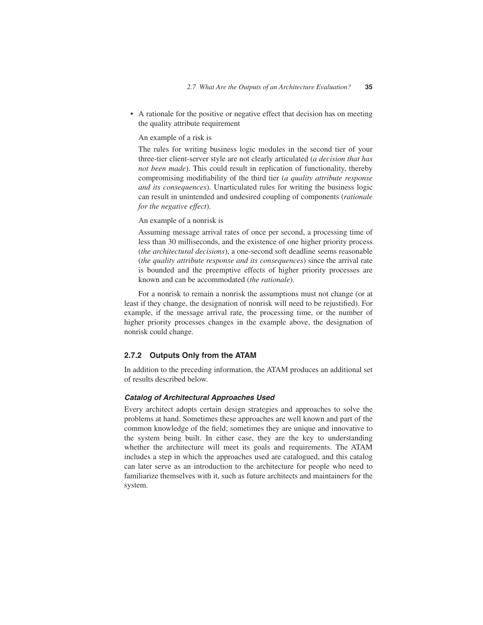• A rationale for the positive or negative effect that decision has on meeting the quality attribute requirement

#### An example of a risk is

The rules for writing business logic modules in the second tier of your three-tier client-server style are not clearly articulated (*a decision that has not been made*). This could result in replication of functionality, thereby compromising modifiability of the third tier (*a quality attribute response and its consequences*). Unarticulated rules for writing the business logic can result in unintended and undesired coupling of components (*rationale for the negative effect*).

#### An example of a nonrisk is

Assuming message arrival rates of once per second, a processing time of less than 30 milliseconds, and the existence of one higher priority process (*the architectural decisions*), a one-second soft deadline seems reasonable (*the quality attribute response and its consequences*) since the arrival rate is bounded and the preemptive effects of higher priority processes are known and can be accommodated (*the rationale*).

For a nonrisk to remain a nonrisk the assumptions must not change (or at least if they change, the designation of nonrisk will need to be rejustified). For example, if the message arrival rate, the processing time, or the number of higher priority processes changes in the example above, the designation of nonrisk could change.

## **2.7.2 Outputs Only from the ATAM**

In addition to the preceding information, the ATAM produces an additional set of results described below.

#### *Catalog of Architectural Approaches Used*

Every architect adopts certain design strategies and approaches to solve the problems at hand. Sometimes these approaches are well known and part of the common knowledge of the field; sometimes they are unique and innovative to the system being built. In either case, they are the key to understanding whether the architecture will meet its goals and requirements. The ATAM includes a step in which the approaches used are catalogued, and this catalog can later serve as an introduction to the architecture for people who need to familiarize themselves with it, such as future architects and maintainers for the system.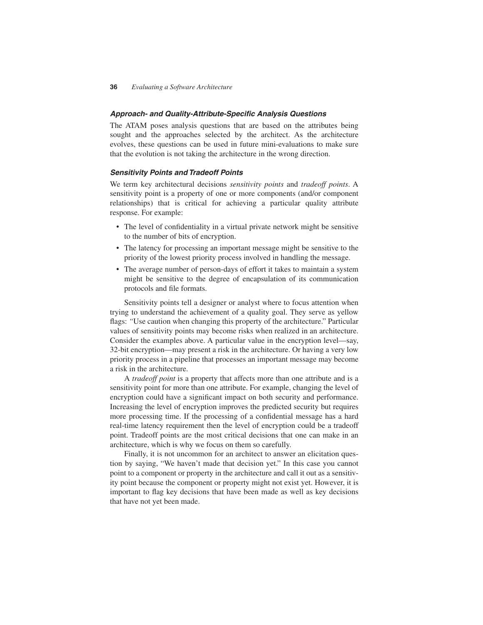#### *Approach- and Quality-Attribute-Specific Analysis Questions*

The ATAM poses analysis questions that are based on the attributes being sought and the approaches selected by the architect. As the architecture evolves, these questions can be used in future mini-evaluations to make sure that the evolution is not taking the architecture in the wrong direction.

#### *Sensitivity Points and Tradeoff Points*

We term key architectural decisions *sensitivity points* and *tradeoff points*. A sensitivity point is a property of one or more components (and/or component relationships) that is critical for achieving a particular quality attribute response. For example:

- The level of confidentiality in a virtual private network might be sensitive to the number of bits of encryption.
- The latency for processing an important message might be sensitive to the priority of the lowest priority process involved in handling the message.
- The average number of person-days of effort it takes to maintain a system might be sensitive to the degree of encapsulation of its communication protocols and file formats.

Sensitivity points tell a designer or analyst where to focus attention when trying to understand the achievement of a quality goal. They serve as yellow flags: *"*Use caution when changing this property of the architecture." Particular values of sensitivity points may become risks when realized in an architecture. Consider the examples above. A particular value in the encryption level—say, 32-bit encryption—may present a risk in the architecture. Or having a very low priority process in a pipeline that processes an important message may become a risk in the architecture.

A *tradeoff point* is a property that affects more than one attribute and is a sensitivity point for more than one attribute. For example, changing the level of encryption could have a significant impact on both security and performance. Increasing the level of encryption improves the predicted security but requires more processing time. If the processing of a confidential message has a hard real-time latency requirement then the level of encryption could be a tradeoff point. Tradeoff points are the most critical decisions that one can make in an architecture, which is why we focus on them so carefully.

Finally, it is not uncommon for an architect to answer an elicitation question by saying, "We haven't made that decision yet." In this case you cannot point to a component or property in the architecture and call it out as a sensitivity point because the component or property might not exist yet. However, it is important to flag key decisions that have been made as well as key decisions that have not yet been made.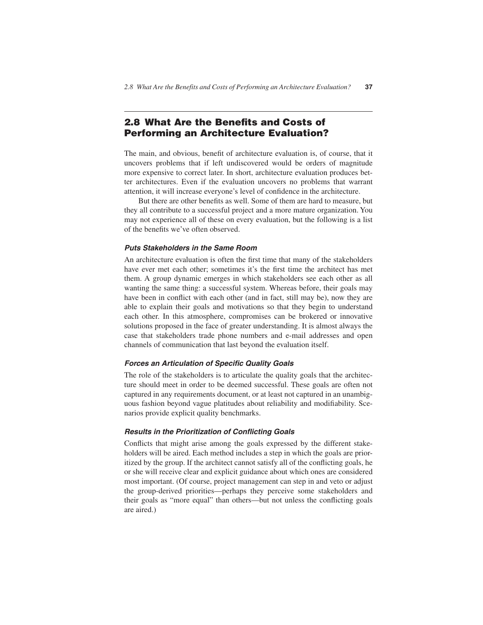# **2.8 What Are the Benefits and Costs of Performing an Architecture Evaluation?**

The main, and obvious, benefit of architecture evaluation is, of course, that it uncovers problems that if left undiscovered would be orders of magnitude more expensive to correct later. In short, architecture evaluation produces better architectures. Even if the evaluation uncovers no problems that warrant attention, it will increase everyone's level of confidence in the architecture.

But there are other benefits as well. Some of them are hard to measure, but they all contribute to a successful project and a more mature organization. You may not experience all of these on every evaluation, but the following is a list of the benefits we've often observed.

#### *Puts Stakeholders in the Same Room*

An architecture evaluation is often the first time that many of the stakeholders have ever met each other; sometimes it's the first time the architect has met them. A group dynamic emerges in which stakeholders see each other as all wanting the same thing: a successful system. Whereas before, their goals may have been in conflict with each other (and in fact, still may be), now they are able to explain their goals and motivations so that they begin to understand each other. In this atmosphere, compromises can be brokered or innovative solutions proposed in the face of greater understanding. It is almost always the case that stakeholders trade phone numbers and e-mail addresses and open channels of communication that last beyond the evaluation itself.

#### *Forces an Articulation of Specific Quality Goals*

The role of the stakeholders is to articulate the quality goals that the architecture should meet in order to be deemed successful. These goals are often not captured in any requirements document, or at least not captured in an unambiguous fashion beyond vague platitudes about reliability and modifiability. Scenarios provide explicit quality benchmarks.

#### *Results in the Prioritization of Conflicting Goals*

Conflicts that might arise among the goals expressed by the different stakeholders will be aired. Each method includes a step in which the goals are prioritized by the group. If the architect cannot satisfy all of the conflicting goals, he or she will receive clear and explicit guidance about which ones are considered most important. (Of course, project management can step in and veto or adjust the group-derived priorities—perhaps they perceive some stakeholders and their goals as "more equal" than others—but not unless the conflicting goals are aired.)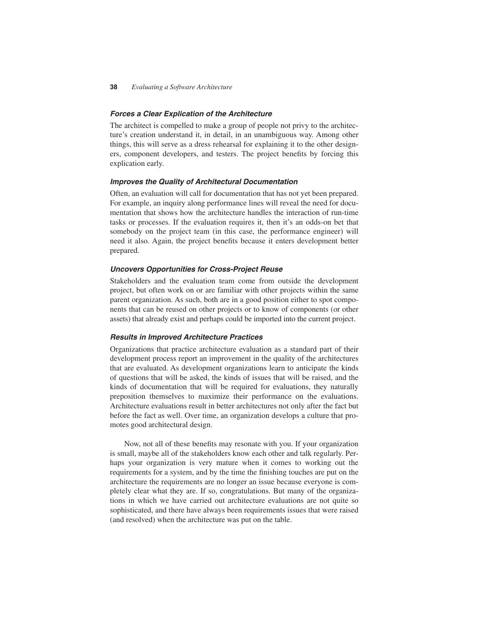#### *Forces a Clear Explication of the Architecture*

The architect is compelled to make a group of people not privy to the architecture's creation understand it, in detail, in an unambiguous way. Among other things, this will serve as a dress rehearsal for explaining it to the other designers, component developers, and testers. The project benefits by forcing this explication early.

#### *Improves the Quality of Architectural Documentation*

Often, an evaluation will call for documentation that has not yet been prepared. For example, an inquiry along performance lines will reveal the need for documentation that shows how the architecture handles the interaction of run-time tasks or processes. If the evaluation requires it, then it's an odds-on bet that somebody on the project team (in this case, the performance engineer) will need it also. Again, the project benefits because it enters development better prepared.

#### *Uncovers Opportunities for Cross-Project Reuse*

Stakeholders and the evaluation team come from outside the development project, but often work on or are familiar with other projects within the same parent organization. As such, both are in a good position either to spot components that can be reused on other projects or to know of components (or other assets) that already exist and perhaps could be imported into the current project.

#### *Results in Improved Architecture Practices*

Organizations that practice architecture evaluation as a standard part of their development process report an improvement in the quality of the architectures that are evaluated. As development organizations learn to anticipate the kinds of questions that will be asked, the kinds of issues that will be raised, and the kinds of documentation that will be required for evaluations, they naturally preposition themselves to maximize their performance on the evaluations. Architecture evaluations result in better architectures not only after the fact but before the fact as well. Over time, an organization develops a culture that promotes good architectural design.

Now, not all of these benefits may resonate with you. If your organization is small, maybe all of the stakeholders know each other and talk regularly. Perhaps your organization is very mature when it comes to working out the requirements for a system, and by the time the finishing touches are put on the architecture the requirements are no longer an issue because everyone is completely clear what they are. If so, congratulations. But many of the organizations in which we have carried out architecture evaluations are not quite so sophisticated, and there have always been requirements issues that were raised (and resolved) when the architecture was put on the table.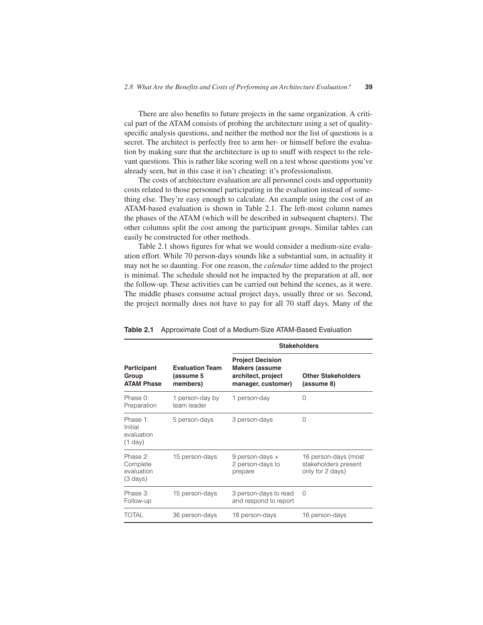There are also benefits to future projects in the same organization. A critical part of the ATAM consists of probing the architecture using a set of qualityspecific analysis questions, and neither the method nor the list of questions is a secret. The architect is perfectly free to arm her- or himself before the evaluation by making sure that the architecture is up to snuff with respect to the relevant questions. This is rather like scoring well on a test whose questions you've already seen, but in this case it isn't cheating: it's professionalism.

The costs of architecture evaluation are all personnel costs and opportunity costs related to those personnel participating in the evaluation instead of something else. They're easy enough to calculate. An example using the cost of an ATAM-based evaluation is shown in Table 2.1. The left-most column names the phases of the ATAM (which will be described in subsequent chapters). The other columns split the cost among the participant groups. Similar tables can easily be constructed for other methods.

Table 2.1 shows figures for what we would consider a medium-size evaluation effort. While 70 person-days sounds like a substantial sum, in actuality it may not be so daunting. For one reason, the *calendar* time added to the project is minimal. The schedule should not be impacted by the preparation at all, nor the follow-up. These activities can be carried out behind the scenes, as it were. The middle phases consume actual project days, usually three or so. Second, the project normally does not have to pay for all 70 staff days. Many of the

| Participant<br>Group<br><b>ATAM Phase</b>                | <b>Evaluation Team</b><br>(assume 5<br>members) | <b>Stakeholders</b>                                                                          |                                                                  |
|----------------------------------------------------------|-------------------------------------------------|----------------------------------------------------------------------------------------------|------------------------------------------------------------------|
|                                                          |                                                 | <b>Project Decision</b><br><b>Makers (assume</b><br>architect, project<br>manager, customer) | <b>Other Stakeholders</b><br>(assume 8)                          |
| Phase $0$<br>Preparation                                 | 1 person-day by<br>team leader                  | 1 person-day                                                                                 | $\Omega$                                                         |
| Phase 1:<br>Initial<br>evaluation<br>(1 day)             | 5 person-days                                   | 3 person-days                                                                                | $\Omega$                                                         |
| Phase 2:<br>Complete<br>evaluation<br>$(3 \text{ days})$ | 15 person-days                                  | 9 person-days +<br>2 person-days to<br>prepare                                               | 16 person-days (most<br>stakeholders present<br>only for 2 days) |
| Phase 3:<br>Follow-up                                    | 15 person-days                                  | 3 person-days to read<br>and respond to report                                               | $\Omega$                                                         |
| TOTAL                                                    | 36 person-days                                  | 18 person-days                                                                               | 16 person-days                                                   |

**Table 2.1** Approximate Cost of a Medium-Size ATAM-Based Evaluation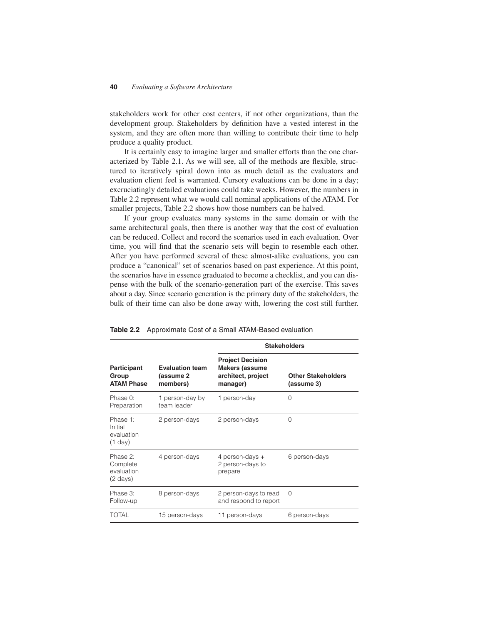stakeholders work for other cost centers, if not other organizations, than the development group. Stakeholders by definition have a vested interest in the system, and they are often more than willing to contribute their time to help produce a quality product.

It is certainly easy to imagine larger and smaller efforts than the one characterized by Table 2.1. As we will see, all of the methods are flexible, structured to iteratively spiral down into as much detail as the evaluators and evaluation client feel is warranted. Cursory evaluations can be done in a day; excruciatingly detailed evaluations could take weeks. However, the numbers in Table 2.2 represent what we would call nominal applications of the ATAM. For smaller projects, Table 2.2 shows how those numbers can be halved.

If your group evaluates many systems in the same domain or with the same architectural goals, then there is another way that the cost of evaluation can be reduced. Collect and record the scenarios used in each evaluation. Over time, you will find that the scenario sets will begin to resemble each other. After you have performed several of these almost-alike evaluations, you can produce a "canonical" set of scenarios based on past experience. At this point, the scenarios have in essence graduated to become a checklist, and you can dispense with the bulk of the scenario-generation part of the exercise. This saves about a day. Since scenario generation is the primary duty of the stakeholders, the bulk of their time can also be done away with, lowering the cost still further.

| <b>Participant</b><br>Group<br><b>ATAM Phase</b>           | <b>Evaluation team</b><br>(assume 2<br>members) | <b>Stakeholders</b>                                                                |                                         |
|------------------------------------------------------------|-------------------------------------------------|------------------------------------------------------------------------------------|-----------------------------------------|
|                                                            |                                                 | <b>Project Decision</b><br><b>Makers (assume</b><br>architect, project<br>manager) | <b>Other Stakeholders</b><br>(assume 3) |
| Phase $0$<br>Preparation                                   | 1 person-day by<br>team leader                  | 1 person-day                                                                       | $\Omega$                                |
| Phase 1:<br>Initial<br>evaluation<br>(1 day)               | 2 person-days                                   | 2 person-days                                                                      | $\Omega$                                |
| Phase $21$<br>Complete<br>evaluation<br>$(2 \text{ days})$ | 4 person-days                                   | 4 person-days +<br>2 person-days to<br>prepare                                     | 6 person-days                           |
| Phase $3^{\circ}$<br>Follow-up                             | 8 person-days                                   | 2 person-days to read<br>and respond to report                                     | $\Omega$                                |
| TOTAL                                                      | 15 person-days                                  | 11 person-days                                                                     | 6 person-days                           |

**Table 2.2** Approximate Cost of a Small ATAM-Based evaluation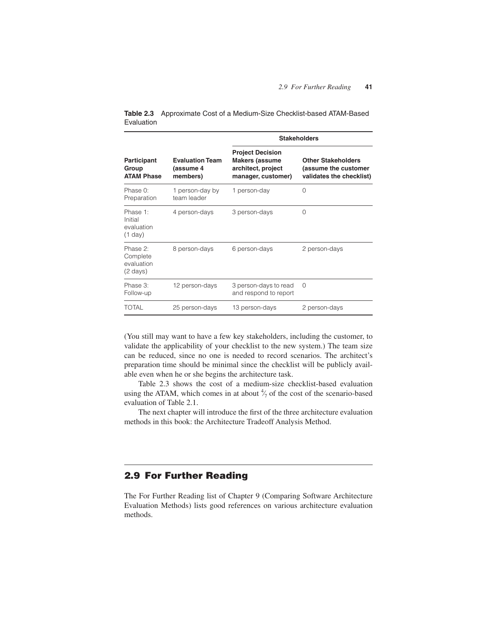| Participant<br>Group<br><b>ATAM Phase</b>      | <b>Evaluation Team</b><br>(assume 4<br>members) | <b>Stakeholders</b>                                                                          |                                                                               |  |
|------------------------------------------------|-------------------------------------------------|----------------------------------------------------------------------------------------------|-------------------------------------------------------------------------------|--|
|                                                |                                                 | <b>Project Decision</b><br><b>Makers (assume</b><br>architect, project<br>manager, customer) | <b>Other Stakeholders</b><br>(assume the customer<br>validates the checklist) |  |
| Phase $0$<br>Preparation                       | 1 person-day by<br>team leader                  | 1 person-day                                                                                 | 0                                                                             |  |
| Phase 1:<br>Initial<br>evaluation<br>(1 day)   | 4 person-days                                   | 3 person-days                                                                                | O                                                                             |  |
| Phase 2:<br>Complete<br>evaluation<br>(2 days) | 8 person-days                                   | 6 person-days                                                                                | 2 person-days                                                                 |  |
| Phase 3:<br>Follow-up                          | 12 person-days                                  | 3 person-days to read<br>and respond to report                                               | $\Omega$                                                                      |  |
| TOTAL                                          | 25 person-days                                  | 13 person-days                                                                               | 2 person-days                                                                 |  |

**Table 2.3** Approximate Cost of a Medium-Size Checklist-based ATAM-Based Evaluation

(You still may want to have a few key stakeholders, including the customer, to validate the applicability of your checklist to the new system.) The team size can be reduced, since no one is needed to record scenarios. The architect's preparation time should be minimal since the checklist will be publicly available even when he or she begins the architecture task.

Table 2.3 shows the cost of a medium-size checklist-based evaluation using the ATAM, which comes in at about  $\frac{4}{7}$  of the cost of the scenario-based ⁄ evaluation of Table 2.1.

The next chapter will introduce the first of the three architecture evaluation methods in this book: the Architecture Tradeoff Analysis Method.

# **2.9 For Further Reading**

The For Further Reading list of Chapter 9 (Comparing Software Architecture Evaluation Methods) lists good references on various architecture evaluation methods.